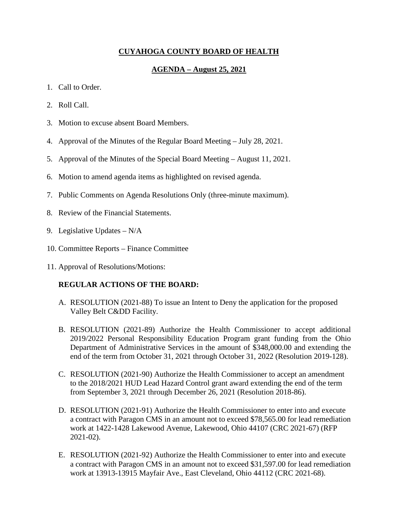# **CUYAHOGA COUNTY BOARD OF HEALTH**

# **AGENDA – August 25, 2021**

- 1. Call to Order.
- 2. Roll Call.
- 3. Motion to excuse absent Board Members.
- 4. Approval of the Minutes of the Regular Board Meeting July 28, 2021.
- 5. Approval of the Minutes of the Special Board Meeting August 11, 2021.
- 6. Motion to amend agenda items as highlighted on revised agenda.
- 7. Public Comments on Agenda Resolutions Only (three-minute maximum).
- 8. Review of the Financial Statements.
- 9. Legislative Updates N/A
- 10. Committee Reports Finance Committee
- 11. Approval of Resolutions/Motions:

# **REGULAR ACTIONS OF THE BOARD:**

- A. RESOLUTION (2021-88) To issue an Intent to Deny the application for the proposed Valley Belt C&DD Facility.
- B. RESOLUTION (2021-89) Authorize the Health Commissioner to accept additional 2019/2022 Personal Responsibility Education Program grant funding from the Ohio Department of Administrative Services in the amount of \$348,000.00 and extending the end of the term from October 31, 2021 through October 31, 2022 (Resolution 2019-128).
- C. RESOLUTION (2021-90) Authorize the Health Commissioner to accept an amendment to the 2018/2021 HUD Lead Hazard Control grant award extending the end of the term from September 3, 2021 through December 26, 2021 (Resolution 2018-86).
- D. RESOLUTION (2021-91) Authorize the Health Commissioner to enter into and execute a contract with Paragon CMS in an amount not to exceed \$78,565.00 for lead remediation work at 1422-1428 Lakewood Avenue, Lakewood, Ohio 44107 (CRC 2021-67) (RFP 2021-02).
- E. RESOLUTION (2021-92) Authorize the Health Commissioner to enter into and execute a contract with Paragon CMS in an amount not to exceed \$31,597.00 for lead remediation work at 13913-13915 Mayfair Ave., East Cleveland, Ohio 44112 (CRC 2021-68).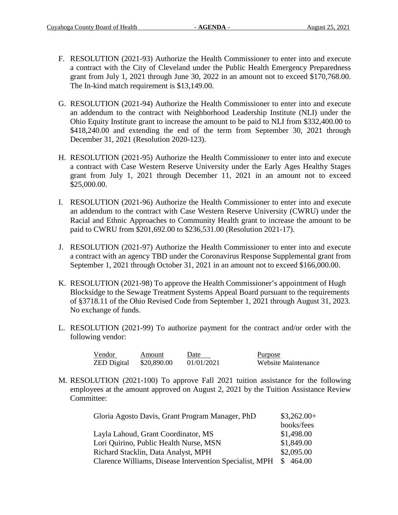- F. RESOLUTION (2021-93) Authorize the Health Commissioner to enter into and execute a contract with the City of Cleveland under the Public Health Emergency Preparedness grant from July 1, 2021 through June 30, 2022 in an amount not to exceed \$170,768.00. The In-kind match requirement is \$13,149.00.
- G. RESOLUTION (2021-94) Authorize the Health Commissioner to enter into and execute an addendum to the contract with Neighborhood Leadership Institute (NLI) under the Ohio Equity Institute grant to increase the amount to be paid to NLI from \$332,400.00 to \$418,240.00 and extending the end of the term from September 30, 2021 through December 31, 2021 (Resolution 2020-123).
- H. RESOLUTION (2021-95) Authorize the Health Commissioner to enter into and execute a contract with Case Western Reserve University under the Early Ages Healthy Stages grant from July 1, 2021 through December 11, 2021 in an amount not to exceed \$25,000.00.
- I. RESOLUTION (2021-96) Authorize the Health Commissioner to enter into and execute an addendum to the contract with Case Western Reserve University (CWRU) under the Racial and Ethnic Approaches to Community Health grant to increase the amount to be paid to CWRU from \$201,692.00 to \$236,531.00 (Resolution 2021-17).
- J. RESOLUTION (2021-97) Authorize the Health Commissioner to enter into and execute a contract with an agency TBD under the Coronavirus Response Supplemental grant from September 1, 2021 through October 31, 2021 in an amount not to exceed \$166,000.00.
- K. RESOLUTION (2021-98) To approve the Health Commissioner's appointment of Hugh Blocksidge to the Sewage Treatment Systems Appeal Board pursuant to the requirements of §3718.11 of the Ohio Revised Code from September 1, 2021 through August 31, 2023. No exchange of funds.
- L. RESOLUTION (2021-99) To authorize payment for the contract and/or order with the following vendor:

| Vendor             | Amount      | Date       | Purpose             |
|--------------------|-------------|------------|---------------------|
| <b>ZED</b> Digital | \$20,890.00 | 01/01/2021 | Website Maintenance |

M. RESOLUTION (2021-100) To approve Fall 2021 tuition assistance for the following employees at the amount approved on August 2, 2021 by the Tuition Assistance Review Committee:

| Gloria Agosto Davis, Grant Program Manager, PhD         | $$3,262.00+$ |
|---------------------------------------------------------|--------------|
|                                                         | books/fees   |
| Layla Lahoud, Grant Coordinator, MS                     | \$1,498.00   |
| Lori Quirino, Public Health Nurse, MSN                  | \$1,849.00   |
| Richard Stacklin, Data Analyst, MPH                     | \$2,095.00   |
| Clarence Williams, Disease Intervention Specialist, MPH | \$464.00     |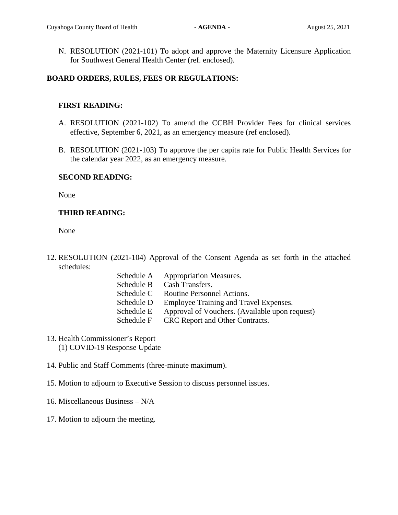N. RESOLUTION (2021-101) To adopt and approve the Maternity Licensure Application for Southwest General Health Center (ref. enclosed).

## **BOARD ORDERS, RULES, FEES OR REGULATIONS:**

## **FIRST READING:**

- A. RESOLUTION (2021-102) To amend the CCBH Provider Fees for clinical services effective, September 6, 2021, as an emergency measure (ref enclosed).
- B. RESOLUTION (2021-103) To approve the per capita rate for Public Health Services for the calendar year 2022, as an emergency measure.

### **SECOND READING:**

None

# **THIRD READING:**

None

- 12. RESOLUTION (2021-104) Approval of the Consent Agenda as set forth in the attached schedules:
	- Schedule A Appropriation Measures. Schedule B Cash Transfers. Schedule C Routine Personnel Actions. Schedule D Employee Training and Travel Expenses. Schedule E Approval of Vouchers. (Available upon request) Schedule F CRC Report and Other Contracts.
- 13. Health Commissioner's Report (1) COVID-19 Response Update
- 14. Public and Staff Comments (three-minute maximum).
- 15. Motion to adjourn to Executive Session to discuss personnel issues.
- 16. Miscellaneous Business N/A
- 17. Motion to adjourn the meeting.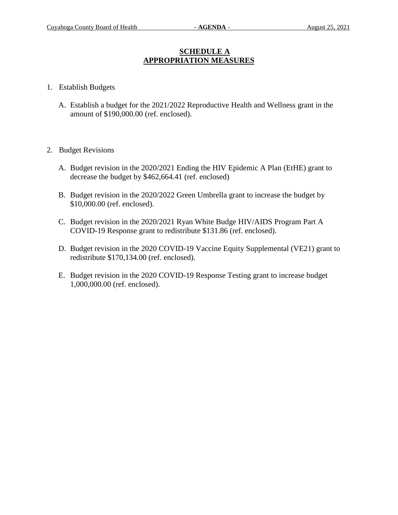# **SCHEDULE A APPROPRIATION MEASURES**

- 1. Establish Budgets
	- A. Establish a budget for the 2021/2022 Reproductive Health and Wellness grant in the amount of \$190,000.00 (ref. enclosed).
- 2. Budget Revisions
	- A. Budget revision in the 2020/2021 Ending the HIV Epidemic A Plan (EtHE) grant to decrease the budget by \$462,664.41 (ref. enclosed)
	- B. Budget revision in the 2020/2022 Green Umbrella grant to increase the budget by \$10,000.00 (ref. enclosed).
	- C. Budget revision in the 2020/2021 Ryan White Budge HIV/AIDS Program Part A COVID-19 Response grant to redistribute \$131.86 (ref. enclosed).
	- D. Budget revision in the 2020 COVID-19 Vaccine Equity Supplemental (VE21) grant to redistribute \$170,134.00 (ref. enclosed).
	- E. Budget revision in the 2020 COVID-19 Response Testing grant to increase budget 1,000,000.00 (ref. enclosed).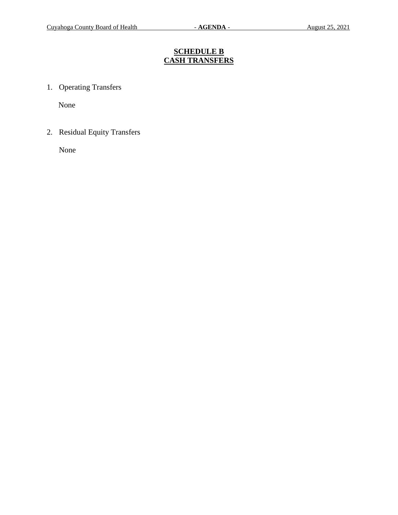# **SCHEDULE B CASH TRANSFERS**

1. Operating Transfers

None

2. Residual Equity Transfers

None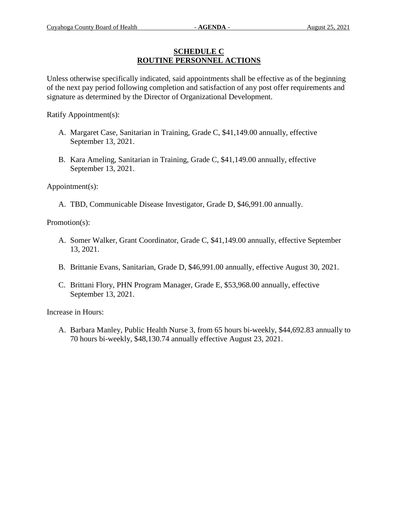## **SCHEDULE C ROUTINE PERSONNEL ACTIONS**

Unless otherwise specifically indicated, said appointments shall be effective as of the beginning of the next pay period following completion and satisfaction of any post offer requirements and signature as determined by the Director of Organizational Development.

Ratify Appointment(s):

- A. Margaret Case, Sanitarian in Training, Grade C, \$41,149.00 annually, effective September 13, 2021.
- B. Kara Ameling, Sanitarian in Training, Grade C, \$41,149.00 annually, effective September 13, 2021.

Appointment(s):

A. TBD, Communicable Disease Investigator, Grade D, \$46,991.00 annually.

Promotion(s):

- A. Somer Walker, Grant Coordinator, Grade C, \$41,149.00 annually, effective September 13, 2021.
- B. Brittanie Evans, Sanitarian, Grade D, \$46,991.00 annually, effective August 30, 2021.
- C. Brittani Flory, PHN Program Manager, Grade E, \$53,968.00 annually, effective September 13, 2021.

Increase in Hours:

A. Barbara Manley, Public Health Nurse 3, from 65 hours bi-weekly, \$44,692.83 annually to 70 hours bi-weekly, \$48,130.74 annually effective August 23, 2021.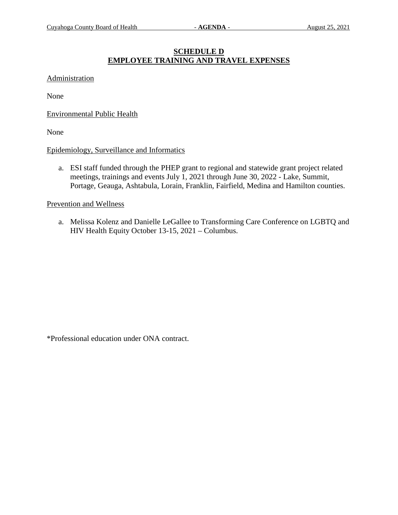# **SCHEDULE D EMPLOYEE TRAINING AND TRAVEL EXPENSES**

#### Administration

None

Environmental Public Health

None

### Epidemiology, Surveillance and Informatics

a. ESI staff funded through the PHEP grant to regional and statewide grant project related meetings, trainings and events July 1, 2021 through June 30, 2022 - Lake, Summit, Portage, Geauga, Ashtabula, Lorain, Franklin, Fairfield, Medina and Hamilton counties.

Prevention and Wellness

a. Melissa Kolenz and Danielle LeGallee to Transforming Care Conference on LGBTQ and HIV Health Equity October 13-15, 2021 – Columbus.

\*Professional education under ONA contract.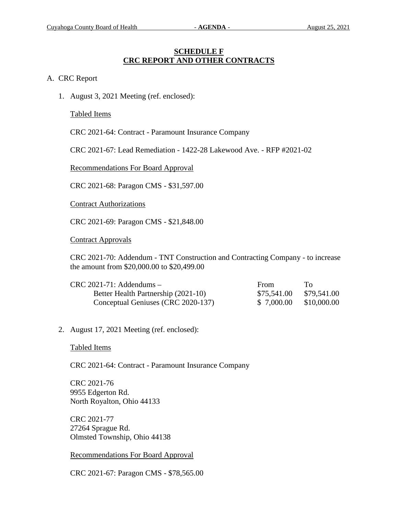## **SCHEDULE F CRC REPORT AND OTHER CONTRACTS**

### A. CRC Report

1. August 3, 2021 Meeting (ref. enclosed):

Tabled Items

CRC 2021-64: Contract - Paramount Insurance Company

CRC 2021-67: Lead Remediation - 1422-28 Lakewood Ave. - RFP #2021-02

Recommendations For Board Approval

CRC 2021-68: Paragon CMS - \$31,597.00

Contract Authorizations

CRC 2021-69: Paragon CMS - \$21,848.00

Contract Approvals

CRC 2021-70: Addendum - TNT Construction and Contracting Company - to increase the amount from \$20,000.00 to \$20,499.00

| $CRC 2021-71$ : Addendums -         | <b>From</b> | Ί'n         |
|-------------------------------------|-------------|-------------|
| Better Health Partnership (2021-10) | \$75,541.00 | \$79,541.00 |
| Conceptual Geniuses (CRC 2020-137)  | \$ 7,000.00 | \$10,000.00 |

2. August 17, 2021 Meeting (ref. enclosed):

Tabled Items

CRC 2021-64: Contract - Paramount Insurance Company

CRC 2021-76 9955 Edgerton Rd. North Royalton, Ohio 44133

CRC 2021-77 27264 Sprague Rd. Olmsted Township, Ohio 44138

Recommendations For Board Approval

CRC 2021-67: Paragon CMS - \$78,565.00